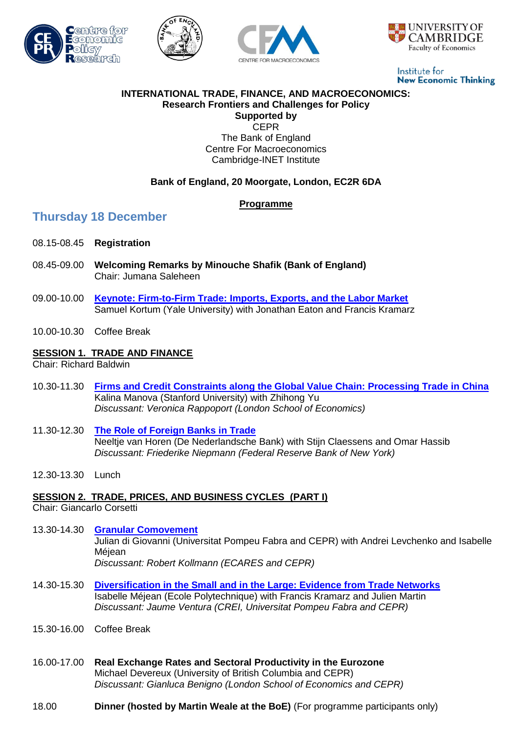







Institute for **New Economic Thinking** 

#### **INTERNATIONAL TRADE, FINANCE, AND MACROECONOMICS: Research Frontiers and Challenges for Policy Supported by**

**CEPR** The Bank of England Centre For Macroeconomics Cambridge-INET Institute

## **Bank of England, 20 Moorgate, London, EC2R 6DA**

## **Programme**

## **Thursday 18 December**

- 08.15-08.45 **Registration**
- 08.45-09.00 **Welcoming Remarks by Minouche Shafik (Bank of England)** Chair: Jumana Saleheen
- 09.00-10.00 **[Keynote: Firm-to-Firm Trade: Imports, Exports, and the Labor Market](http://intranet/Banknav/IML.asp?svr=IMSERVER&db=Analytical&id=7086913&v=0&c=@bankofengland.co.uk)** Samuel Kortum (Yale University) with Jonathan Eaton and Francis Kramarz
- 10.00-10.30 Coffee Break

### **SESSION 1. TRADE AND FINANCE**

Chair: Richard Baldwin

- 10.30-11.30 **[Firms and Credit Constraints along the Global Value Chain: Processing Trade in China](http://intranet/Banknav/IML.asp?svr=IMSERVER&db=Analytical&id=7086915&v=0&c=@bankofengland.co.uk)** Kalina Manova (Stanford University) with Zhihong Yu *Discussant: Veronica Rappoport (London School of Economics)*
- 11.30-12.30 **[The Role of Foreign Banks in Trade](http://intranet/Banknav/IML.asp?svr=IMSERVER&db=Analytical&id=7086916&v=0&c=@bankofengland.co.uk)** Neeltje van Horen (De Nederlandsche Bank) with Stijn Claessens and Omar Hassib *Discussant: Friederike Niepmann (Federal Reserve Bank of New York)*
- 12.30-13.30 Lunch

### **SESSION 2. TRADE, PRICES, AND BUSINESS CYCLES (PART I)**

Chair: Giancarlo Corsetti

- 13.30-14.30 **[Granular Comovement](http://intranet/Banknav/IML.asp?svr=IMSERVER&db=Analytical&id=7087834&v=0&c=@bankofengland.co.uk)** Julian di Giovanni (Universitat Pompeu Fabra and CEPR) with Andrei Levchenko and Isabelle Méjean *Discussant: Robert Kollmann (ECARES and CEPR)*
- 14.30-15.30 **[Diversification in the Small and in the Large: Evidence from Trade Networks](http://intranet/Banknav/IML.asp?svr=IMSERVER&db=Analytical&id=7086917&v=0&c=@bankofengland.co.uk)** Isabelle Méjean (Ecole Polytechnique) with Francis Kramarz and Julien Martin *Discussant: Jaume Ventura (CREI, Universitat Pompeu Fabra and CEPR)*
- 15.30-16.00 Coffee Break
- 16.00-17.00 **Real Exchange Rates and Sectoral Productivity in the Eurozone** Michael Devereux (University of British Columbia and CEPR) *Discussant: Gianluca Benigno (London School of Economics and CEPR)*
- 18.00 **Dinner (hosted by Martin Weale at the BoE)** (For programme participants only)